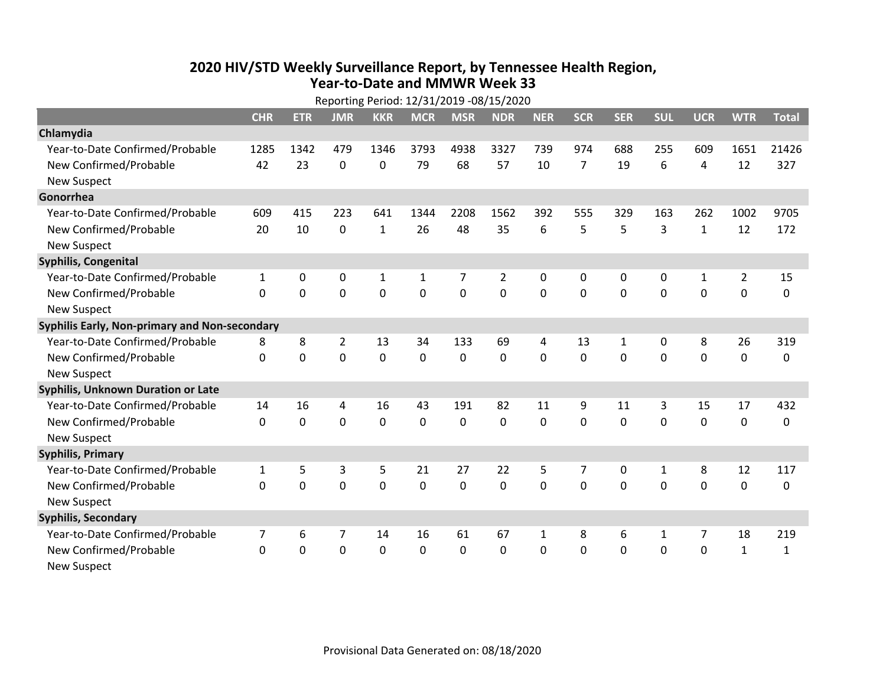## **2020 HIV /STD Weekly Surveillance Report, by Tennessee Health Region, Year‐to‐Date and MMWR Week 33** Reporting Period: 12/31/2019 ‐08/15/2020

| Reporting Period: 12/31/2019 -08/15/2020      |              |             |                |                |             |             |                |              |                |              |              |              |                |              |
|-----------------------------------------------|--------------|-------------|----------------|----------------|-------------|-------------|----------------|--------------|----------------|--------------|--------------|--------------|----------------|--------------|
|                                               | <b>CHR</b>   | <b>ETR</b>  | <b>JMR</b>     | <b>KKR</b>     | <b>MCR</b>  | <b>MSR</b>  | <b>NDR</b>     | <b>NER</b>   | <b>SCR</b>     | <b>SER</b>   | <b>SUL</b>   | <b>UCR</b>   | <b>WTR</b>     | <b>Total</b> |
| Chlamydia                                     |              |             |                |                |             |             |                |              |                |              |              |              |                |              |
| Year-to-Date Confirmed/Probable               | 1285         | 1342        | 479            | 1346           | 3793        | 4938        | 3327           | 739          | 974            | 688          | 255          | 609          | 1651           | 21426        |
| New Confirmed/Probable                        | 42           | 23          | $\mathbf 0$    | 0              | 79          | 68          | 57             | 10           | $\overline{7}$ | 19           | 6            | 4            | 12             | 327          |
| <b>New Suspect</b>                            |              |             |                |                |             |             |                |              |                |              |              |              |                |              |
| Gonorrhea                                     |              |             |                |                |             |             |                |              |                |              |              |              |                |              |
| Year-to-Date Confirmed/Probable               | 609          | 415         | 223            | 641            | 1344        | 2208        | 1562           | 392          | 555            | 329          | 163          | 262          | 1002           | 9705         |
| New Confirmed/Probable                        | 20           | 10          | $\mathbf 0$    | $\mathbf{1}$   | 26          | 48          | 35             | 6            | 5              | 5            | 3            | $\mathbf{1}$ | 12             | 172          |
| <b>New Suspect</b>                            |              |             |                |                |             |             |                |              |                |              |              |              |                |              |
| <b>Syphilis, Congenital</b>                   |              |             |                |                |             |             |                |              |                |              |              |              |                |              |
| Year-to-Date Confirmed/Probable               | 1            | 0           | $\mathbf 0$    | $\mathbf{1}$   | 1           | 7           | $\overline{2}$ | 0            | 0              | 0            | 0            | $\mathbf{1}$ | $\overline{2}$ | 15           |
| New Confirmed/Probable                        | $\Omega$     | 0           | $\mathbf 0$    | 0              | $\mathbf 0$ | $\mathbf 0$ | 0              | $\Omega$     | $\Omega$       | 0            | 0            | 0            | $\mathbf 0$    | 0            |
| <b>New Suspect</b>                            |              |             |                |                |             |             |                |              |                |              |              |              |                |              |
| Syphilis Early, Non-primary and Non-secondary |              |             |                |                |             |             |                |              |                |              |              |              |                |              |
| Year-to-Date Confirmed/Probable               | 8            | 8           | $\overline{2}$ | 13             | 34          | 133         | 69             | 4            | 13             | $\mathbf{1}$ | 0            | 8            | 26             | 319          |
| New Confirmed/Probable                        | 0            | 0           | $\overline{0}$ | $\overline{0}$ | $\mathbf 0$ | $\mathbf 0$ | 0              | $\Omega$     | $\Omega$       | $\Omega$     | $\mathbf 0$  | $\mathbf 0$  | $\mathbf 0$    | 0            |
| <b>New Suspect</b>                            |              |             |                |                |             |             |                |              |                |              |              |              |                |              |
| <b>Syphilis, Unknown Duration or Late</b>     |              |             |                |                |             |             |                |              |                |              |              |              |                |              |
| Year-to-Date Confirmed/Probable               | 14           | 16          | 4              | 16             | 43          | 191         | 82             | 11           | 9              | 11           | 3            | 15           | 17             | 432          |
| New Confirmed/Probable                        | 0            | $\mathbf 0$ | $\overline{0}$ | $\overline{0}$ | $\mathbf 0$ | $\mathbf 0$ | $\Omega$       | $\Omega$     | $\Omega$       | $\Omega$     | $\Omega$     | $\mathbf 0$  | $\mathbf 0$    | 0            |
| <b>New Suspect</b>                            |              |             |                |                |             |             |                |              |                |              |              |              |                |              |
| <b>Syphilis, Primary</b>                      |              |             |                |                |             |             |                |              |                |              |              |              |                |              |
| Year-to-Date Confirmed/Probable               | $\mathbf{1}$ | 5           | 3              | 5              | 21          | 27          | 22             | 5            | $\overline{7}$ | 0            | $\mathbf{1}$ | 8            | 12             | 117          |
| New Confirmed/Probable                        | $\Omega$     | 0           | $\overline{0}$ | $\overline{0}$ | $\mathbf 0$ | $\mathbf 0$ | 0              | $\Omega$     | $\Omega$       | $\Omega$     | $\mathbf 0$  | $\Omega$     | $\mathbf 0$    | 0            |
| <b>New Suspect</b>                            |              |             |                |                |             |             |                |              |                |              |              |              |                |              |
| <b>Syphilis, Secondary</b>                    |              |             |                |                |             |             |                |              |                |              |              |              |                |              |
| Year-to-Date Confirmed/Probable               | 7            | 6           | 7              | 14             | 16          | 61          | 67             | $\mathbf{1}$ | 8              | 6            | 1            | 7            | 18             | 219          |
| New Confirmed/Probable                        | $\mathbf{0}$ | 0           | 0              | 0              | $\mathbf 0$ | 0           | 0              | $\mathbf 0$  | $\Omega$       | 0            | 0            | 0            | $\mathbf{1}$   | $\mathbf{1}$ |
| <b>New Suspect</b>                            |              |             |                |                |             |             |                |              |                |              |              |              |                |              |